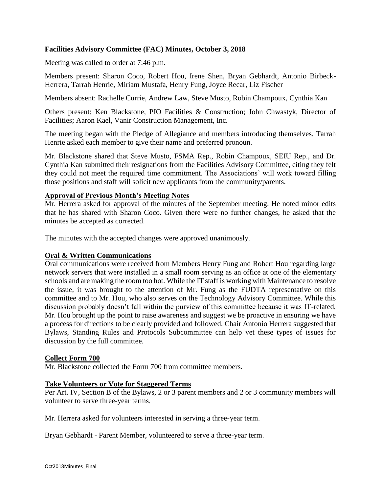# **Facilities Advisory Committee (FAC) Minutes, October 3, 2018**

Meeting was called to order at 7:46 p.m.

Members present: Sharon Coco, Robert Hou, Irene Shen, Bryan Gebhardt, Antonio Birbeck-Herrera, Tarrah Henrie, Miriam Mustafa, Henry Fung, Joyce Recar, Liz Fischer

Members absent: Rachelle Currie, Andrew Law, Steve Musto, Robin Champoux, Cynthia Kan

Others present: Ken Blackstone, PIO Facilities & Construction; John Chwastyk, Director of Facilities; Aaron Kael, Vanir Construction Management, Inc.

The meeting began with the Pledge of Allegiance and members introducing themselves. Tarrah Henrie asked each member to give their name and preferred pronoun.

Mr. Blackstone shared that Steve Musto, FSMA Rep., Robin Champoux, SEIU Rep., and Dr. Cynthia Kan submitted their resignations from the Facilities Advisory Committee, citing they felt they could not meet the required time commitment. The Associations' will work toward filling those positions and staff will solicit new applicants from the community/parents.

#### **Approval of Previous Month's Meeting Notes**

Mr. Herrera asked for approval of the minutes of the September meeting. He noted minor edits that he has shared with Sharon Coco. Given there were no further changes, he asked that the minutes be accepted as corrected.

The minutes with the accepted changes were approved unanimously.

### **Oral & Written Communications**

Oral communications were received from Members Henry Fung and Robert Hou regarding large network servers that were installed in a small room serving as an office at one of the elementary schools and are making the room too hot. While the IT staff is working with Maintenance to resolve the issue, it was brought to the attention of Mr. Fung as the FUDTA representative on this committee and to Mr. Hou, who also serves on the Technology Advisory Committee. While this discussion probably doesn't fall within the purview of this committee because it was IT-related, Mr. Hou brought up the point to raise awareness and suggest we be proactive in ensuring we have a process for directions to be clearly provided and followed. Chair Antonio Herrera suggested that Bylaws, Standing Rules and Protocols Subcommittee can help vet these types of issues for discussion by the full committee.

#### **Collect Form 700**

Mr. Blackstone collected the Form 700 from committee members.

#### **Take Volunteers or Vote for Staggered Terms**

Per Art. IV, Section B of the Bylaws, 2 or 3 parent members and 2 or 3 community members will volunteer to serve three-year terms.

Mr. Herrera asked for volunteers interested in serving a three-year term.

Bryan Gebhardt - Parent Member, volunteered to serve a three-year term.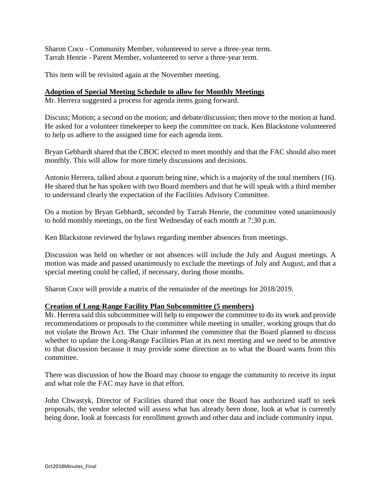Sharon Coco - Community Member, volunteered to serve a three-year term. Tarrah Henrie - Parent Member, volunteered to serve a three-year term.

This item will be revisited again at the November meeting.

### **Adoption of Special Meeting Schedule to allow for Monthly Meetings**

Mr. Herrera suggested a process for agenda items going forward.

Discuss; Motion; a second on the motion; and debate/discussion; then move to the motion at hand. He asked for a volunteer timekeeper to keep the committee on track. Ken Blackstone volunteered to help us adhere to the assigned time for each agenda item.

Bryan Gebhardt shared that the CBOC elected to meet monthly and that the FAC should also meet monthly. This will allow for more timely discussions and decisions.

Antonio Herrera, talked about a quorum being nine, which is a majority of the total members (16). He shared that he has spoken with two Board members and that he will speak with a third member to understand clearly the expectation of the Facilities Advisory Committee.

On a motion by Bryan Gebhardt, seconded by Tarrah Henrie, the committee voted unanimously to hold monthly meetings, on the first Wednesday of each month at 7:30 p.m.

Ken Blackstone reviewed the bylaws regarding member absences from meetings.

Discussion was held on whether or not absences will include the July and August meetings. A motion was made and passed unanimously to exclude the meetings of July and August, and that a special meeting could be called, if necessary, during those months.

Sharon Coco will provide a matrix of the remainder of the meetings for 2018/2019.

### **Creation of Long-Range Facility Plan Subcommittee (5 members)**

Mr. Herrera said this subcommittee will help to empower the committee to do its work and provide recommendations or proposals to the committee while meeting in smaller, working groups that do not violate the Brown Act. The Chair informed the committee that the Board planned to discuss whether to update the Long-Range Facilities Plan at its next meeting and we need to be attentive to that discussion because it may provide some direction as to what the Board wants from this committee.

There was discussion of how the Board may choose to engage the community to receive its input and what role the FAC may have in that effort.

John Chwastyk, Director of Facilities shared that once the Board has authorized staff to seek proposals, the vendor selected will assess what has already been done, look at what is currently being done, look at forecasts for enrollment growth and other data and include community input.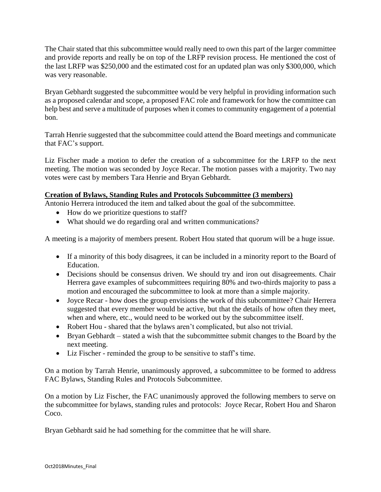The Chair stated that this subcommittee would really need to own this part of the larger committee and provide reports and really be on top of the LRFP revision process. He mentioned the cost of the last LRFP was \$250,000 and the estimated cost for an updated plan was only \$300,000, which was very reasonable.

Bryan Gebhardt suggested the subcommittee would be very helpful in providing information such as a proposed calendar and scope, a proposed FAC role and framework for how the committee can help best and serve a multitude of purposes when it comes to community engagement of a potential bon.

Tarrah Henrie suggested that the subcommittee could attend the Board meetings and communicate that FAC's support.

Liz Fischer made a motion to defer the creation of a subcommittee for the LRFP to the next meeting. The motion was seconded by Joyce Recar. The motion passes with a majority. Two nay votes were cast by members Tara Henrie and Bryan Gebhardt.

# **Creation of Bylaws, Standing Rules and Protocols Subcommittee (3 members)**

Antonio Herrera introduced the item and talked about the goal of the subcommittee.

- How do we prioritize questions to staff?
- What should we do regarding oral and written communications?

A meeting is a majority of members present. Robert Hou stated that quorum will be a huge issue.

- If a minority of this body disagrees, it can be included in a minority report to the Board of Education.
- Decisions should be consensus driven. We should try and iron out disagreements. Chair Herrera gave examples of subcommittees requiring 80% and two-thirds majority to pass a motion and encouraged the subcommittee to look at more than a simple majority.
- Joyce Recar how does the group envisions the work of this subcommittee? Chair Herrera suggested that every member would be active, but that the details of how often they meet, when and where, etc., would need to be worked out by the subcommittee itself.
- Robert Hou shared that the bylaws aren't complicated, but also not trivial.
- Bryan Gebhardt stated a wish that the subcommittee submit changes to the Board by the next meeting.
- Liz Fischer reminded the group to be sensitive to staff's time.

On a motion by Tarrah Henrie, unanimously approved, a subcommittee to be formed to address FAC Bylaws, Standing Rules and Protocols Subcommittee.

On a motion by Liz Fischer, the FAC unanimously approved the following members to serve on the subcommittee for bylaws, standing rules and protocols: Joyce Recar, Robert Hou and Sharon Coco.

Bryan Gebhardt said he had something for the committee that he will share.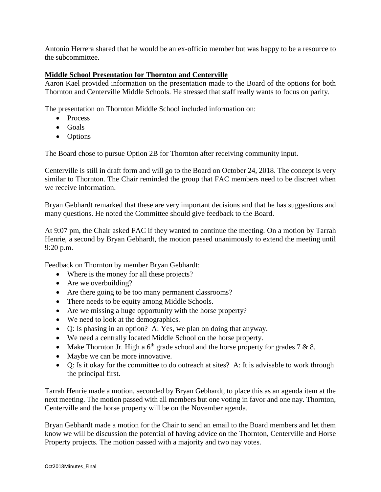Antonio Herrera shared that he would be an ex-officio member but was happy to be a resource to the subcommittee.

# **Middle School Presentation for Thornton and Centerville**

Aaron Kael provided information on the presentation made to the Board of the options for both Thornton and Centerville Middle Schools. He stressed that staff really wants to focus on parity.

The presentation on Thornton Middle School included information on:

- Process
- $\bullet$  Goals
- Options

The Board chose to pursue Option 2B for Thornton after receiving community input.

Centerville is still in draft form and will go to the Board on October 24, 2018. The concept is very similar to Thornton. The Chair reminded the group that FAC members need to be discreet when we receive information.

Bryan Gebhardt remarked that these are very important decisions and that he has suggestions and many questions. He noted the Committee should give feedback to the Board.

At 9:07 pm, the Chair asked FAC if they wanted to continue the meeting. On a motion by Tarrah Henrie, a second by Bryan Gebhardt, the motion passed unanimously to extend the meeting until 9:20 p.m.

Feedback on Thornton by member Bryan Gebhardt:

- Where is the money for all these projects?
- Are we overbuilding?
- Are there going to be too many permanent classrooms?
- There needs to be equity among Middle Schools.
- Are we missing a huge opportunity with the horse property?
- We need to look at the demographics.
- Q: Is phasing in an option? A: Yes, we plan on doing that anyway.
- We need a centrally located Middle School on the horse property.
- Make Thornton Jr. High a  $6<sup>th</sup>$  grade school and the horse property for grades 7 & 8.
- Maybe we can be more innovative.
- Q: Is it okay for the committee to do outreach at sites? A: It is advisable to work through the principal first.

Tarrah Henrie made a motion, seconded by Bryan Gebhardt, to place this as an agenda item at the next meeting. The motion passed with all members but one voting in favor and one nay. Thornton, Centerville and the horse property will be on the November agenda.

Bryan Gebhardt made a motion for the Chair to send an email to the Board members and let them know we will be discussion the potential of having advice on the Thornton, Centerville and Horse Property projects. The motion passed with a majority and two nay votes.